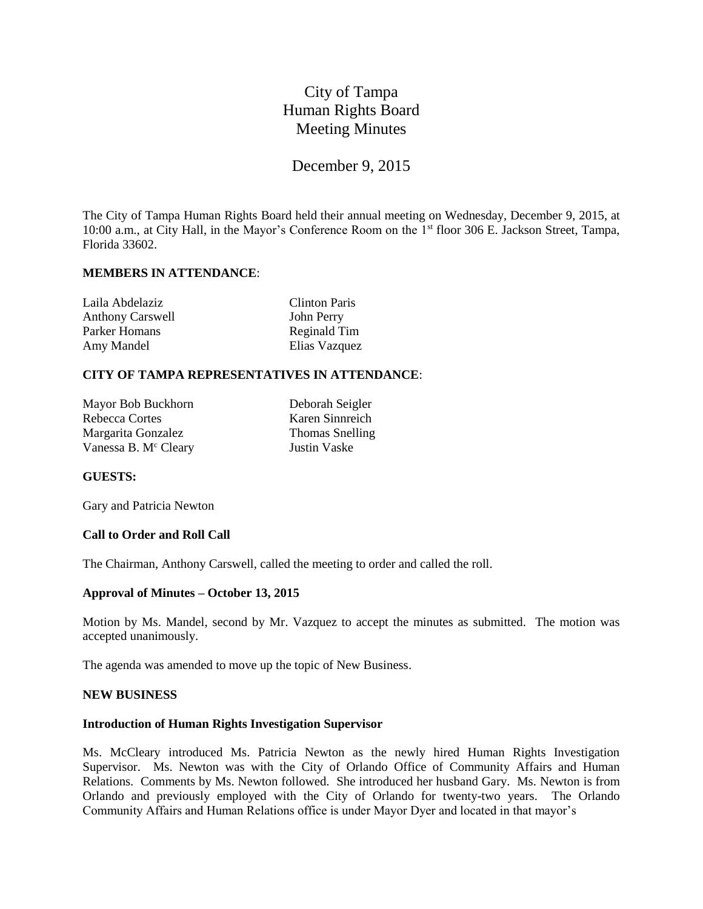# City of Tampa Human Rights Board Meeting Minutes

# December 9, 2015

The City of Tampa Human Rights Board held their annual meeting on Wednesday, December 9, 2015, at 10:00 a.m., at City Hall, in the Mayor's Conference Room on the 1st floor 306 E. Jackson Street, Tampa, Florida 33602.

# **MEMBERS IN ATTENDANCE**:

| Laila Abdelaziz         | <b>Clinton Paris</b> |
|-------------------------|----------------------|
| <b>Anthony Carswell</b> | John Perry           |
| Parker Homans           | Reginald Tim         |
| Amy Mandel              | Elias Vazquez        |

# **CITY OF TAMPA REPRESENTATIVES IN ATTENDANCE**:

Mayor Bob Buckhorn Deborah Seigler Rebecca Cortes Karen Sinnreich Margarita Gonzalez Thomas Snelling Vanessa B. M<sup>c</sup> Cleary Justin Vaske

# **GUESTS:**

Gary and Patricia Newton

#### **Call to Order and Roll Call**

The Chairman, Anthony Carswell, called the meeting to order and called the roll.

### **Approval of Minutes – October 13, 2015**

Motion by Ms. Mandel, second by Mr. Vazquez to accept the minutes as submitted. The motion was accepted unanimously.

The agenda was amended to move up the topic of New Business.

#### **NEW BUSINESS**

#### **Introduction of Human Rights Investigation Supervisor**

Ms. McCleary introduced Ms. Patricia Newton as the newly hired Human Rights Investigation Supervisor. Ms. Newton was with the City of Orlando Office of Community Affairs and Human Relations. Comments by Ms. Newton followed. She introduced her husband Gary. Ms. Newton is from Orlando and previously employed with the City of Orlando for twenty-two years. The Orlando Community Affairs and Human Relations office is under Mayor Dyer and located in that mayor's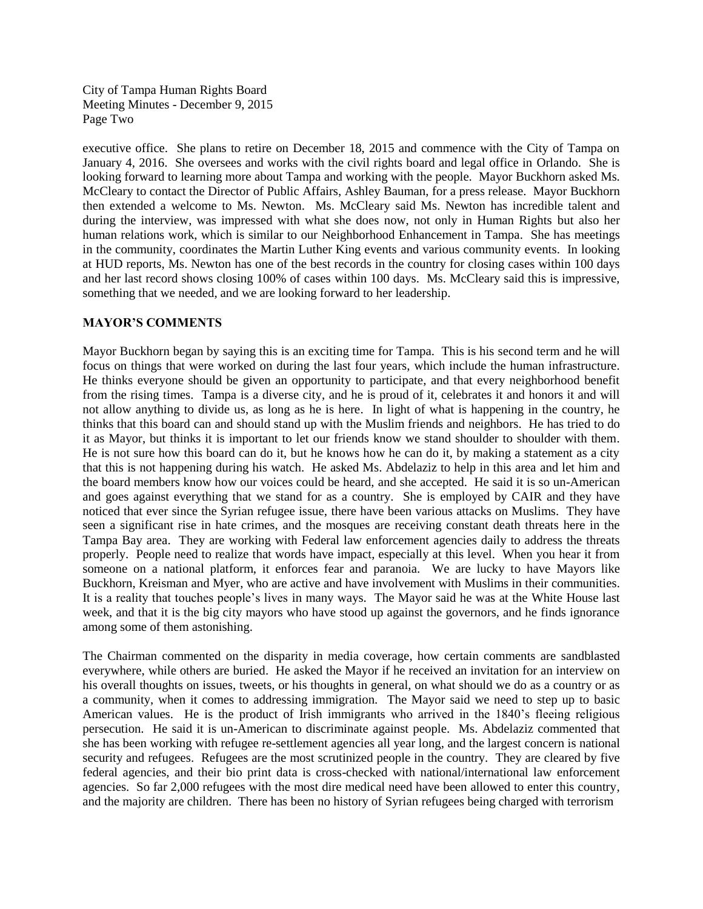City of Tampa Human Rights Board Meeting Minutes - December 9, 2015 Page Two

executive office. She plans to retire on December 18, 2015 and commence with the City of Tampa on January 4, 2016. She oversees and works with the civil rights board and legal office in Orlando. She is looking forward to learning more about Tampa and working with the people. Mayor Buckhorn asked Ms. McCleary to contact the Director of Public Affairs, Ashley Bauman, for a press release. Mayor Buckhorn then extended a welcome to Ms. Newton. Ms. McCleary said Ms. Newton has incredible talent and during the interview, was impressed with what she does now, not only in Human Rights but also her human relations work, which is similar to our Neighborhood Enhancement in Tampa. She has meetings in the community, coordinates the Martin Luther King events and various community events. In looking at HUD reports, Ms. Newton has one of the best records in the country for closing cases within 100 days and her last record shows closing 100% of cases within 100 days. Ms. McCleary said this is impressive, something that we needed, and we are looking forward to her leadership.

### **MAYOR'S COMMENTS**

Mayor Buckhorn began by saying this is an exciting time for Tampa. This is his second term and he will focus on things that were worked on during the last four years, which include the human infrastructure. He thinks everyone should be given an opportunity to participate, and that every neighborhood benefit from the rising times. Tampa is a diverse city, and he is proud of it, celebrates it and honors it and will not allow anything to divide us, as long as he is here. In light of what is happening in the country, he thinks that this board can and should stand up with the Muslim friends and neighbors. He has tried to do it as Mayor, but thinks it is important to let our friends know we stand shoulder to shoulder with them. He is not sure how this board can do it, but he knows how he can do it, by making a statement as a city that this is not happening during his watch. He asked Ms. Abdelaziz to help in this area and let him and the board members know how our voices could be heard, and she accepted. He said it is so un-American and goes against everything that we stand for as a country. She is employed by CAIR and they have noticed that ever since the Syrian refugee issue, there have been various attacks on Muslims. They have seen a significant rise in hate crimes, and the mosques are receiving constant death threats here in the Tampa Bay area. They are working with Federal law enforcement agencies daily to address the threats properly. People need to realize that words have impact, especially at this level. When you hear it from someone on a national platform, it enforces fear and paranoia. We are lucky to have Mayors like Buckhorn, Kreisman and Myer, who are active and have involvement with Muslims in their communities. It is a reality that touches people's lives in many ways. The Mayor said he was at the White House last week, and that it is the big city mayors who have stood up against the governors, and he finds ignorance among some of them astonishing.

The Chairman commented on the disparity in media coverage, how certain comments are sandblasted everywhere, while others are buried. He asked the Mayor if he received an invitation for an interview on his overall thoughts on issues, tweets, or his thoughts in general, on what should we do as a country or as a community, when it comes to addressing immigration. The Mayor said we need to step up to basic American values. He is the product of Irish immigrants who arrived in the 1840's fleeing religious persecution. He said it is un-American to discriminate against people. Ms. Abdelaziz commented that she has been working with refugee re-settlement agencies all year long, and the largest concern is national security and refugees. Refugees are the most scrutinized people in the country. They are cleared by five federal agencies, and their bio print data is cross-checked with national/international law enforcement agencies. So far 2,000 refugees with the most dire medical need have been allowed to enter this country, and the majority are children. There has been no history of Syrian refugees being charged with terrorism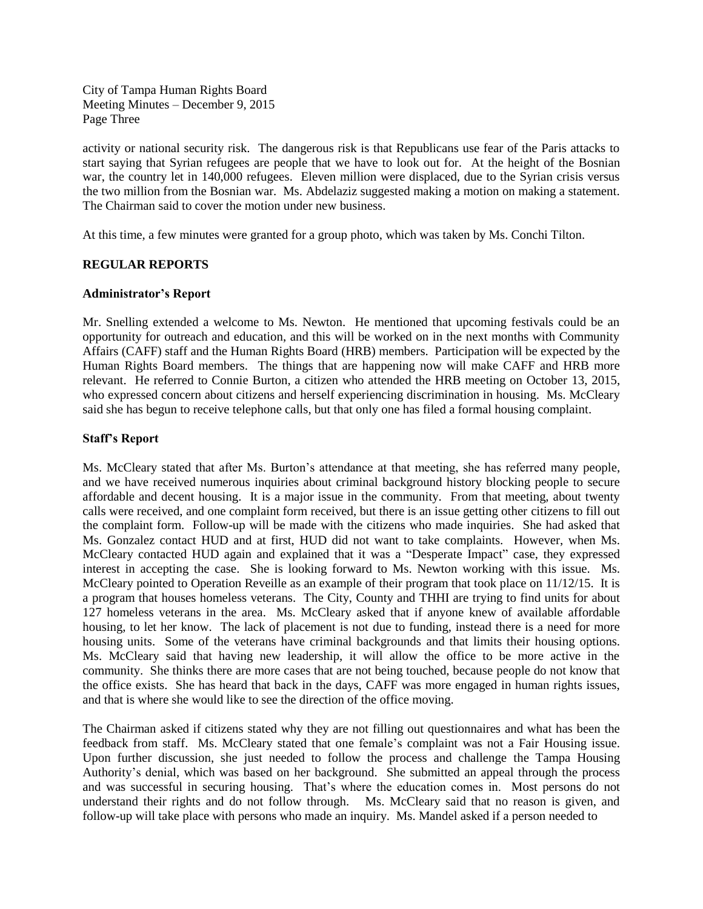City of Tampa Human Rights Board Meeting Minutes – December 9, 2015 Page Three

activity or national security risk. The dangerous risk is that Republicans use fear of the Paris attacks to start saying that Syrian refugees are people that we have to look out for. At the height of the Bosnian war, the country let in 140,000 refugees. Eleven million were displaced, due to the Syrian crisis versus the two million from the Bosnian war. Ms. Abdelaziz suggested making a motion on making a statement. The Chairman said to cover the motion under new business.

At this time, a few minutes were granted for a group photo, which was taken by Ms. Conchi Tilton.

# **REGULAR REPORTS**

# **Administrator's Report**

Mr. Snelling extended a welcome to Ms. Newton. He mentioned that upcoming festivals could be an opportunity for outreach and education, and this will be worked on in the next months with Community Affairs (CAFF) staff and the Human Rights Board (HRB) members. Participation will be expected by the Human Rights Board members. The things that are happening now will make CAFF and HRB more relevant. He referred to Connie Burton, a citizen who attended the HRB meeting on October 13, 2015, who expressed concern about citizens and herself experiencing discrimination in housing. Ms. McCleary said she has begun to receive telephone calls, but that only one has filed a formal housing complaint.

# **Staff's Report**

Ms. McCleary stated that after Ms. Burton's attendance at that meeting, she has referred many people, and we have received numerous inquiries about criminal background history blocking people to secure affordable and decent housing. It is a major issue in the community. From that meeting, about twenty calls were received, and one complaint form received, but there is an issue getting other citizens to fill out the complaint form. Follow-up will be made with the citizens who made inquiries. She had asked that Ms. Gonzalez contact HUD and at first, HUD did not want to take complaints. However, when Ms. McCleary contacted HUD again and explained that it was a "Desperate Impact" case, they expressed interest in accepting the case. She is looking forward to Ms. Newton working with this issue. Ms. McCleary pointed to Operation Reveille as an example of their program that took place on 11/12/15. It is a program that houses homeless veterans. The City, County and THHI are trying to find units for about 127 homeless veterans in the area. Ms. McCleary asked that if anyone knew of available affordable housing, to let her know. The lack of placement is not due to funding, instead there is a need for more housing units. Some of the veterans have criminal backgrounds and that limits their housing options. Ms. McCleary said that having new leadership, it will allow the office to be more active in the community. She thinks there are more cases that are not being touched, because people do not know that the office exists. She has heard that back in the days, CAFF was more engaged in human rights issues, and that is where she would like to see the direction of the office moving.

The Chairman asked if citizens stated why they are not filling out questionnaires and what has been the feedback from staff. Ms. McCleary stated that one female's complaint was not a Fair Housing issue. Upon further discussion, she just needed to follow the process and challenge the Tampa Housing Authority's denial, which was based on her background. She submitted an appeal through the process and was successful in securing housing. That's where the education comes in. Most persons do not understand their rights and do not follow through. Ms. McCleary said that no reason is given, and follow-up will take place with persons who made an inquiry. Ms. Mandel asked if a person needed to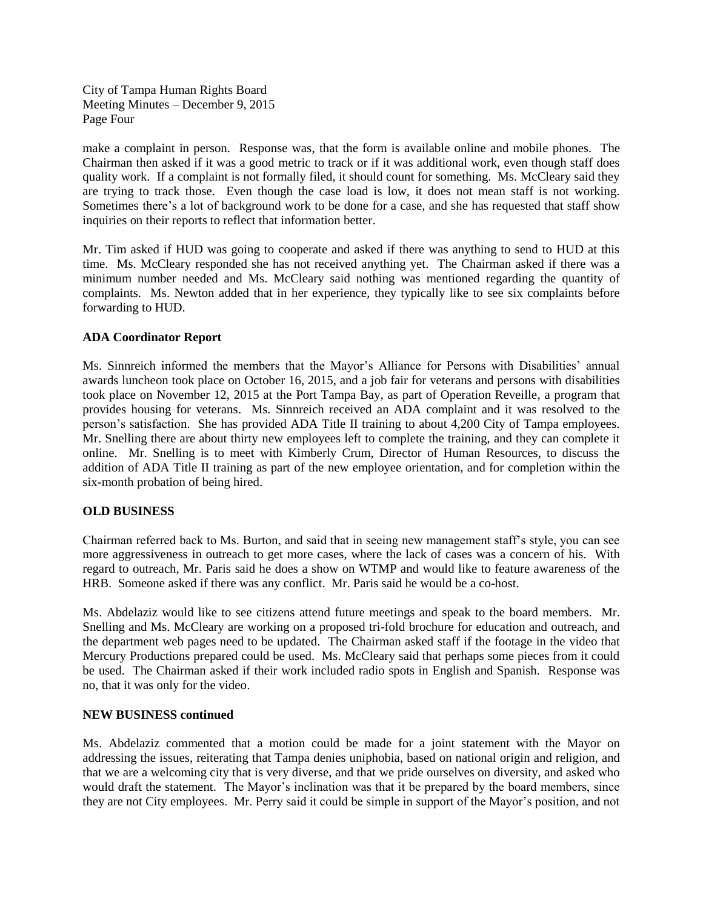City of Tampa Human Rights Board Meeting Minutes – December 9, 2015 Page Four

make a complaint in person. Response was, that the form is available online and mobile phones. The Chairman then asked if it was a good metric to track or if it was additional work, even though staff does quality work. If a complaint is not formally filed, it should count for something. Ms. McCleary said they are trying to track those. Even though the case load is low, it does not mean staff is not working. Sometimes there's a lot of background work to be done for a case, and she has requested that staff show inquiries on their reports to reflect that information better.

Mr. Tim asked if HUD was going to cooperate and asked if there was anything to send to HUD at this time. Ms. McCleary responded she has not received anything yet. The Chairman asked if there was a minimum number needed and Ms. McCleary said nothing was mentioned regarding the quantity of complaints. Ms. Newton added that in her experience, they typically like to see six complaints before forwarding to HUD.

# **ADA Coordinator Report**

Ms. Sinnreich informed the members that the Mayor's Alliance for Persons with Disabilities' annual awards luncheon took place on October 16, 2015, and a job fair for veterans and persons with disabilities took place on November 12, 2015 at the Port Tampa Bay, as part of Operation Reveille, a program that provides housing for veterans. Ms. Sinnreich received an ADA complaint and it was resolved to the person's satisfaction. She has provided ADA Title II training to about 4,200 City of Tampa employees. Mr. Snelling there are about thirty new employees left to complete the training, and they can complete it online. Mr. Snelling is to meet with Kimberly Crum, Director of Human Resources, to discuss the addition of ADA Title II training as part of the new employee orientation, and for completion within the six-month probation of being hired.

# **OLD BUSINESS**

Chairman referred back to Ms. Burton, and said that in seeing new management staff's style, you can see more aggressiveness in outreach to get more cases, where the lack of cases was a concern of his. With regard to outreach, Mr. Paris said he does a show on WTMP and would like to feature awareness of the HRB. Someone asked if there was any conflict. Mr. Paris said he would be a co-host.

Ms. Abdelaziz would like to see citizens attend future meetings and speak to the board members. Mr. Snelling and Ms. McCleary are working on a proposed tri-fold brochure for education and outreach, and the department web pages need to be updated. The Chairman asked staff if the footage in the video that Mercury Productions prepared could be used. Ms. McCleary said that perhaps some pieces from it could be used. The Chairman asked if their work included radio spots in English and Spanish. Response was no, that it was only for the video.

# **NEW BUSINESS continued**

Ms. Abdelaziz commented that a motion could be made for a joint statement with the Mayor on addressing the issues, reiterating that Tampa denies uniphobia, based on national origin and religion, and that we are a welcoming city that is very diverse, and that we pride ourselves on diversity, and asked who would draft the statement. The Mayor's inclination was that it be prepared by the board members, since they are not City employees. Mr. Perry said it could be simple in support of the Mayor's position, and not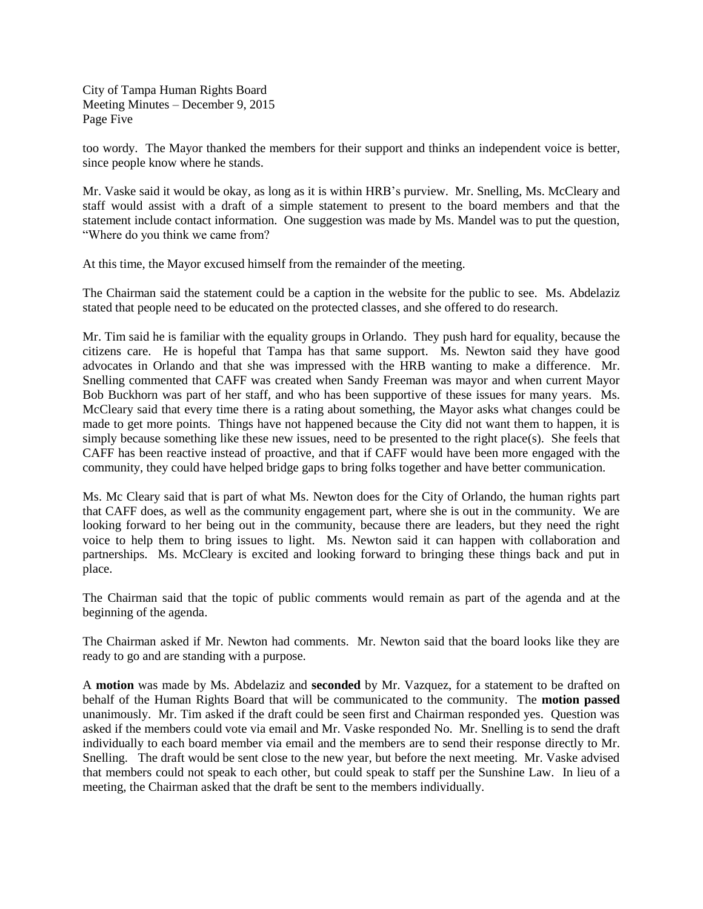City of Tampa Human Rights Board Meeting Minutes – December 9, 2015 Page Five

too wordy. The Mayor thanked the members for their support and thinks an independent voice is better, since people know where he stands.

Mr. Vaske said it would be okay, as long as it is within HRB's purview. Mr. Snelling, Ms. McCleary and staff would assist with a draft of a simple statement to present to the board members and that the statement include contact information. One suggestion was made by Ms. Mandel was to put the question, "Where do you think we came from?

At this time, the Mayor excused himself from the remainder of the meeting.

The Chairman said the statement could be a caption in the website for the public to see. Ms. Abdelaziz stated that people need to be educated on the protected classes, and she offered to do research.

Mr. Tim said he is familiar with the equality groups in Orlando. They push hard for equality, because the citizens care. He is hopeful that Tampa has that same support. Ms. Newton said they have good advocates in Orlando and that she was impressed with the HRB wanting to make a difference. Mr. Snelling commented that CAFF was created when Sandy Freeman was mayor and when current Mayor Bob Buckhorn was part of her staff, and who has been supportive of these issues for many years. Ms. McCleary said that every time there is a rating about something, the Mayor asks what changes could be made to get more points. Things have not happened because the City did not want them to happen, it is simply because something like these new issues, need to be presented to the right place(s). She feels that CAFF has been reactive instead of proactive, and that if CAFF would have been more engaged with the community, they could have helped bridge gaps to bring folks together and have better communication.

Ms. Mc Cleary said that is part of what Ms. Newton does for the City of Orlando, the human rights part that CAFF does, as well as the community engagement part, where she is out in the community. We are looking forward to her being out in the community, because there are leaders, but they need the right voice to help them to bring issues to light. Ms. Newton said it can happen with collaboration and partnerships. Ms. McCleary is excited and looking forward to bringing these things back and put in place.

The Chairman said that the topic of public comments would remain as part of the agenda and at the beginning of the agenda.

The Chairman asked if Mr. Newton had comments. Mr. Newton said that the board looks like they are ready to go and are standing with a purpose.

A **motion** was made by Ms. Abdelaziz and **seconded** by Mr. Vazquez, for a statement to be drafted on behalf of the Human Rights Board that will be communicated to the community. The **motion passed** unanimously. Mr. Tim asked if the draft could be seen first and Chairman responded yes. Question was asked if the members could vote via email and Mr. Vaske responded No. Mr. Snelling is to send the draft individually to each board member via email and the members are to send their response directly to Mr. Snelling. The draft would be sent close to the new year, but before the next meeting. Mr. Vaske advised that members could not speak to each other, but could speak to staff per the Sunshine Law. In lieu of a meeting, the Chairman asked that the draft be sent to the members individually.